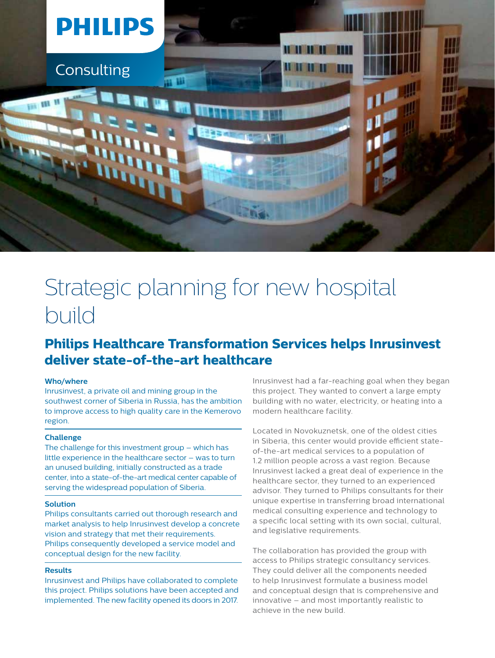

# Strategic planning for new hospital build

## **Philips Healthcare Transformation Services helps Inrusinvest deliver state-of-the-art healthcare**

### **Who/where**

Inrusinvest, a private oil and mining group in the southwest corner of Siberia in Russia, has the ambition to improve access to high quality care in the Kemerovo region.

#### **Challenge**

The challenge for this investment group – which has little experience in the healthcare sector – was to turn an unused building, initially constructed as a trade center, into a state-of-the-art medical center capable of serving the widespread population of Siberia.

#### **Solution**

Philips consultants carried out thorough research and market analysis to help Inrusinvest develop a concrete vision and strategy that met their requirements. Philips consequently developed a service model and conceptual design for the new facility.

#### **Results**

Inrusinvest and Philips have collaborated to complete this project. Philips solutions have been accepted and implemented. The new facility opened its doors in 2017. Inrusinvest had a far-reaching goal when they began this project. They wanted to convert a large empty building with no water, electricity, or heating into a modern healthcare facility.

Located in Novokuznetsk, one of the oldest cities in Siberia, this center would provide efficient stateof-the-art medical services to a population of 1.2 million people across a vast region. Because Inrusinvest lacked a great deal of experience in the healthcare sector, they turned to an experienced advisor. They turned to Philips consultants for their unique expertise in transferring broad international medical consulting experience and technology to a specific local setting with its own social, cultural, and legislative requirements.

The collaboration has provided the group with access to Philips strategic consultancy services. They could deliver all the components needed to help Inrusinvest formulate a business model and conceptual design that is comprehensive and innovative – and most importantly realistic to achieve in the new build.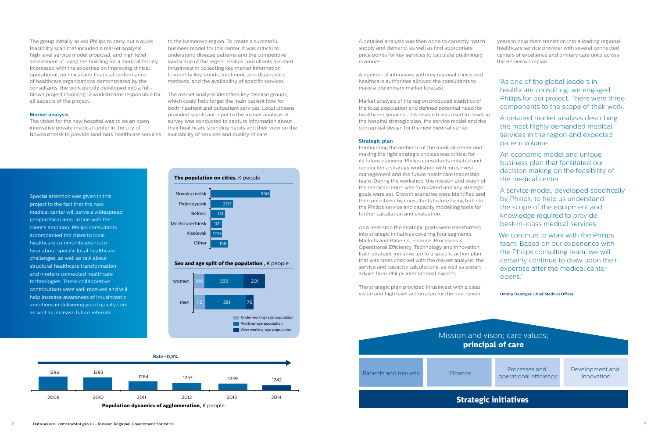





**Sex and age split of the population**, K people

A detailed analysis was then done to correctly match supply and demand, as well as find appropriate price points for key services to calculate preliminary revenues.

A number of interviews with key regional clinics and healthcare authorities allowed the consultants to make a preliminary market forecast.

Market analysis of the region produced statistics of the local population and defined potential need for healthcare services. This research was used to develop the hospital strategic plan, the service model and the conceptual design for the new medical center.

#### **Strategic plan**

Formulating the ambition of the medical center and making the right strategic choices was critical for its future planning. Philips consultants initiated and conducted a strategy workshop with Inrusinvest management and the future healthcare leadership team. During the workshop, the mission and vision of the medical center was formulated and key strategic goals were set. Growth scenarios were identified and then prioritized by consultants before being fed into the Philips service and capacity modelling tools for further calculation and evaluation.

As a next step the strategic goals were transformed into strategic initiatives covering four segments: Markets and Patients, Finance, Processes & Operational Efficiency, Technology and Innovation. Each strategic initiative led to a specific action plan that was cross checked with the market analysis, the service and capacity calculations, as well as expert advice from Philips international experts.

The strategic plan provided Inrusinvest with a clear vision and high level action plan for the next seven

years to help them transition into a leading regional healthcare service provider with several connected centers of excellence and primary care units across the Kemerovo region.

- "As one of the global leaders in healthcare consulting, we engaged Philips for our project. There were three components to the scope of their work:
- A detailed market analysis describing the most highly demanded medical services in the region and expected patient volume
- An economic model and unique business plan that facilitated our decision making on the feasibility of the medical center
- A service model, developed specifically by Philips, to help us understand the scope of the equipment and knowledge required to provide best-in-class medical services
- We continue to work with the Philips team. Based on our experience with the Philips consulting team, we will certainly continue to draw upon their expertise after the medical center opens."

**Dmitry Danziger, Chief Medical Officer**

operational efficiency



Development and innovation

Special attention was given in this project to the fact that the new medical center will serve a widespread geographical area. In line with the client's ambition, Philips consultants accompanied the client to local healthcare community events to hear about specific local healthcare challenges, as well as talk about structural healthcare transformation and modern connected healthcare technologies. These collaborative contributions were well received and will help increase awareness of Inrusinvest's ambitions in delivering good quality care as well as increase future referrals.

The group initially asked Philips to carry out a quick feasibility scan that included a market analysis, high level service model proposal, and high level assessment of using the building for a medical facility. Impressed with the expertise on improving clinical, operational, technical and financial performance of healthcare organizations demonstrated by the consultants, the work quickly developed into a fullblown project involving 12 workstreams responsible for all aspects of the project.

#### **Market analysis**

The vision for the new hospital was to be an open, innovative private medical center in the city of Novokuznetsk to provide landmark healthcare services to the Kemerovo region. To create a successful business model for this center, it was critical to understand disease patterns and the competitive landscape of the region. Philips consultants assisted Inrusinvest in collecting key market information to identify key trends, treatment, and diagnostics methods, and the availability of specific services.

The market analysis identified key disease groups, which could help target the main patient flow for both inpatient and outpatient services. Local citizens provided significant input to the market analysis. A survey was conducted to capture information about their healthcare spending habits and their view on the availability of services and quality of care.